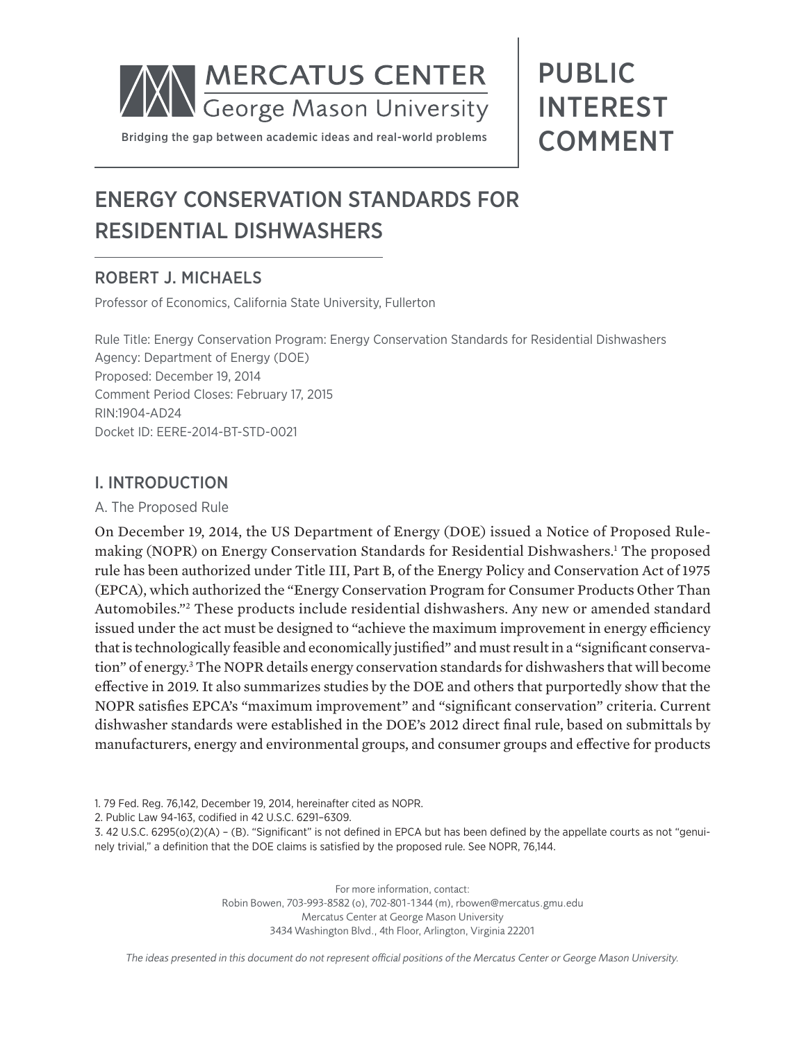

# PUBLIC INTEREST **COMMENT**

## ENERGY CONSERVATION STANDARDS FOR RESIDENTIAL DISHWASHERS

## ROBERT J. MICHAELS

Professor of Economics, California State University, Fullerton

Rule Title: Energy Conservation Program: Energy Conservation Standards for Residential Dishwashers Agency: Department of Energy (DOE) Proposed: December 19, 2014 Comment Period Closes: February 17, 2015 RIN:1904-AD24 Docket ID: EERE-2014-BT-STD-0021

### I. INTRODUCTION

#### A. The Proposed Rule

On December 19, 2014, the US Department of Energy (DOE) issued a Notice of Proposed Rulemaking (NOPR) on Energy Conservation Standards for Residential Dishwashers.1 The proposed rule has been authorized under Title III, Part B, of the Energy Policy and Conservation Act of 1975 (EPCA), which authorized the "Energy Conservation Program for Consumer Products Other Than Automobiles."2 These products include residential dishwashers. Any new or amended standard issued under the act must be designed to "achieve the maximum improvement in energy efficiency that is technologically feasible and economically justified" and must result in a "significant conservation" of energy.3 The NOPR details energy conservation standards for dishwashers that will become effective in 2019. It also summarizes studies by the DOE and others that purportedly show that the NOPR satisfies EPCA's "maximum improvement" and "significant conservation" criteria. Current dishwasher standards were established in the DOE's 2012 direct final rule, based on submittals by manufacturers, energy and environmental groups, and consumer groups and effective for products

1. 79 Fed. Reg. 76,142, December 19, 2014, hereinafter cited as NOPR.

2. Public Law 94-163, codified in 42 U.S.C. 6291–6309.

3. 42 U.S.C. 6295(o)(2)(A) – (B). "Significant" is not defined in EPCA but has been defined by the appellate courts as not "genuinely trivial," a definition that the DOE claims is satisfied by the proposed rule. See NOPR, 76,144.

> For more information, contact: Robin Bowen, 703-993-8582 (o), 702-801-1344 (m), rbowen@mercatus.gmu.edu Mercatus Center at George Mason University 3434 Washington Blvd., 4th Floor, Arlington, Virginia 22201

*The ideas presented in this document do not represent official positions of the Mercatus Center or George Mason University.*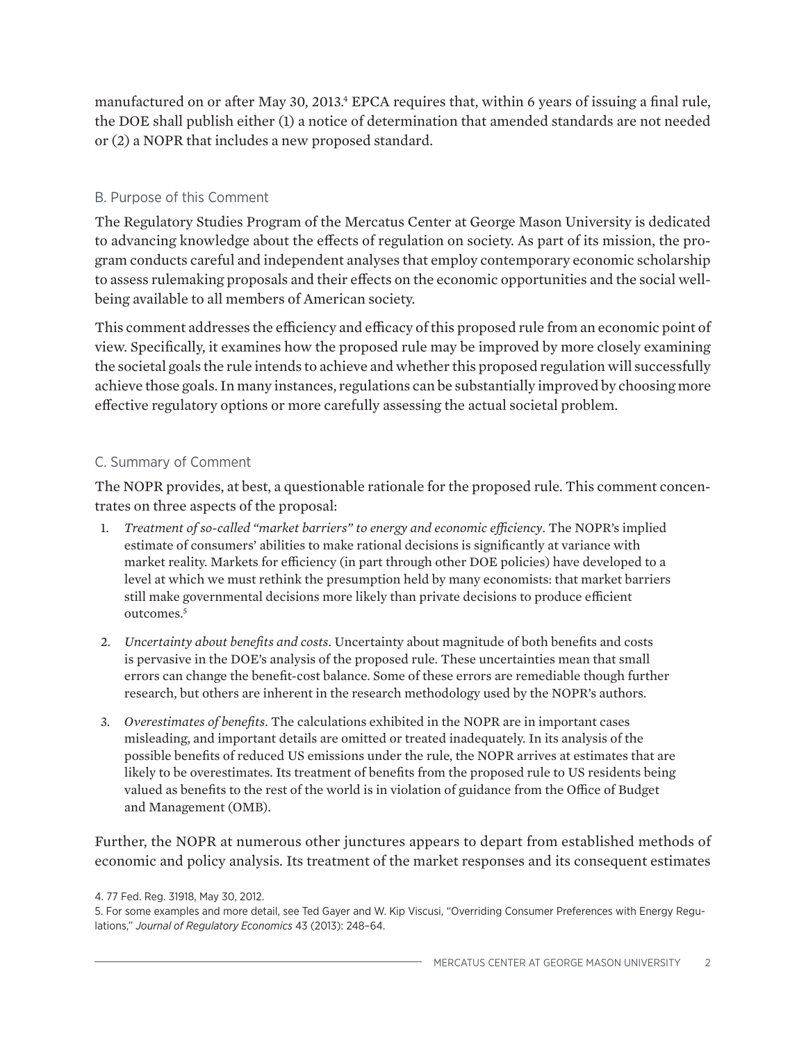manufactured on or after May 30, 2013.<sup>4</sup> EPCA requires that, within 6 years of issuing a final rule, the DOE shall publish either (1) a notice of determination that amended standards are not needed or (2) a NOPR that includes a new proposed standard.

#### B. Purpose of this Comment

The Regulatory Studies Program of the Mercatus Center at George Mason University is dedicated to advancing knowledge about the effects of regulation on society. As part of its mission, the program conducts careful and independent analyses that employ contemporary economic scholarship to assess rulemaking proposals and their effects on the economic opportunities and the social wellbeing available to all members of American society.

This comment addresses the efficiency and efficacy of this proposed rule from an economic point of view. Specifically, it examines how the proposed rule may be improved by more closely examining the societal goals the rule intends to achieve and whether this proposed regulation will successfully achieve those goals. In many instances, regulations can be substantially improved by choosing more effective regulatory options or more carefully assessing the actual societal problem.

#### C. Summary of Comment

The NOPR provides, at best, a questionable rationale for the proposed rule. This comment concentrates on three aspects of the proposal:

- 1. *Treatment of so-called "market barriers" to energy and economic efficiency*. The NOPR's implied estimate of consumers' abilities to make rational decisions is significantly at variance with market reality. Markets for efficiency (in part through other DOE policies) have developed to a level at which we must rethink the presumption held by many economists: that market barriers still make governmental decisions more likely than private decisions to produce efficient outcomes.5
- 2. *Uncertainty about benefits and costs*. Uncertainty about magnitude of both benefits and costs is pervasive in the DOE's analysis of the proposed rule. These uncertainties mean that small errors can change the benefit-cost balance. Some of these errors are remediable though further research, but others are inherent in the research methodology used by the NOPR's authors.
- 3. *Overestimates of benefits*. The calculations exhibited in the NOPR are in important cases misleading, and important details are omitted or treated inadequately. In its analysis of the possible benefits of reduced US emissions under the rule, the NOPR arrives at estimates that are likely to be overestimates. Its treatment of benefits from the proposed rule to US residents being valued as benefits to the rest of the world is in violation of guidance from the Office of Budget and Management (OMB).

Further, the NOPR at numerous other junctures appears to depart from established methods of economic and policy analysis. Its treatment of the market responses and its consequent estimates

<sup>4. 77</sup> Fed. Reg. 31918, May 30, 2012.

<sup>5.</sup> For some examples and more detail, see Ted Gayer and W. Kip Viscusi, "Overriding Consumer Preferences with Energy Regulations," *Journal of Regulatory Economics* 43 (2013): 248–64.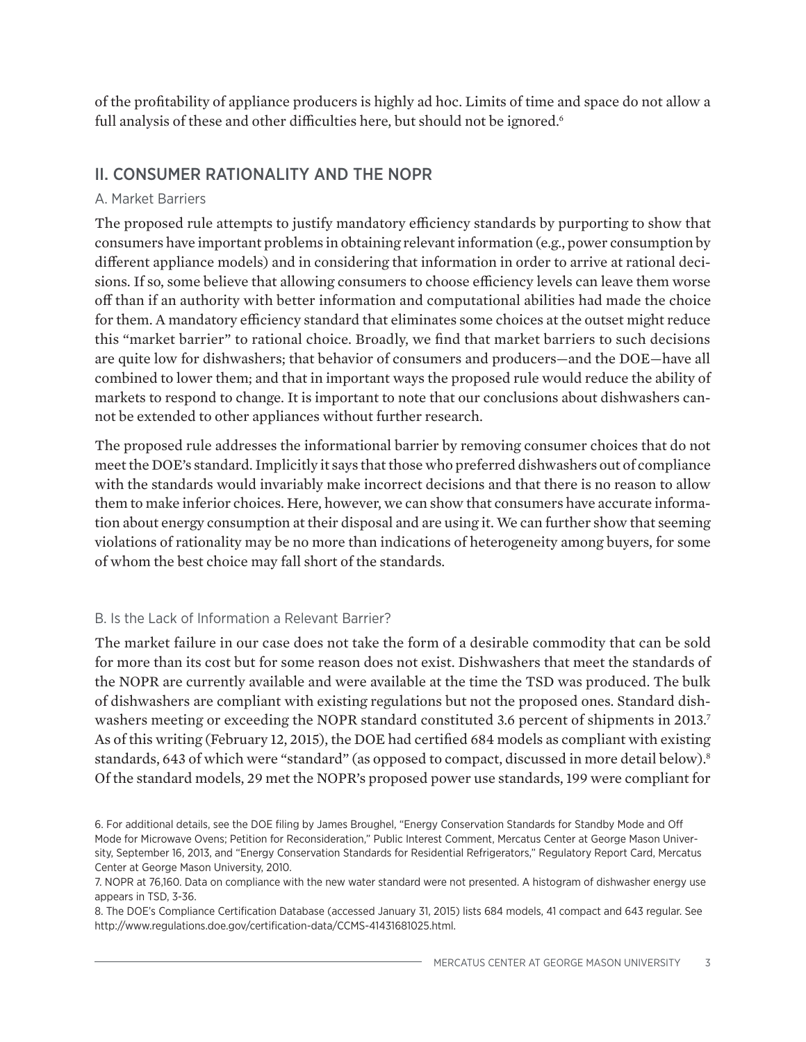of the profitability of appliance producers is highly ad hoc. Limits of time and space do not allow a full analysis of these and other difficulties here, but should not be ignored.<sup>6</sup>

## II. CONSUMER RATIONALITY AND THE NOPR

#### A. Market Barriers

The proposed rule attempts to justify mandatory efficiency standards by purporting to show that consumers have important problems in obtaining relevant information (e.g., power consumption by different appliance models) and in considering that information in order to arrive at rational decisions. If so, some believe that allowing consumers to choose efficiency levels can leave them worse off than if an authority with better information and computational abilities had made the choice for them. A mandatory efficiency standard that eliminates some choices at the outset might reduce this "market barrier" to rational choice. Broadly, we find that market barriers to such decisions are quite low for dishwashers; that behavior of consumers and producers—and the DOE—have all combined to lower them; and that in important ways the proposed rule would reduce the ability of markets to respond to change. It is important to note that our conclusions about dishwashers cannot be extended to other appliances without further research.

The proposed rule addresses the informational barrier by removing consumer choices that do not meet the DOE's standard. Implicitly it says that those who preferred dishwashers out of compliance with the standards would invariably make incorrect decisions and that there is no reason to allow them to make inferior choices. Here, however, we can show that consumers have accurate information about energy consumption at their disposal and are using it. We can further show that seeming violations of rationality may be no more than indications of heterogeneity among buyers, for some of whom the best choice may fall short of the standards.

#### B. Is the Lack of Information a Relevant Barrier?

The market failure in our case does not take the form of a desirable commodity that can be sold for more than its cost but for some reason does not exist. Dishwashers that meet the standards of the NOPR are currently available and were available at the time the TSD was produced. The bulk of dishwashers are compliant with existing regulations but not the proposed ones. Standard dishwashers meeting or exceeding the NOPR standard constituted 3.6 percent of shipments in 2013.<sup>7</sup> As of this writing (February 12, 2015), the DOE had certified 684 models as compliant with existing standards, 643 of which were "standard" (as opposed to compact, discussed in more detail below).<sup>8</sup> Of the standard models, 29 met the NOPR's proposed power use standards, 199 were compliant for

8. The DOE's Compliance Certification Database (accessed January 31, 2015) lists 684 models, 41 compact and 643 regular. See http://www.regulations.doe.gov/certification-data/CCMS-41431681025.html.

<sup>6.</sup> For additional details, see the DOE filing by James Broughel, "Energy Conservation Standards for Standby Mode and Off Mode for Microwave Ovens; Petition for Reconsideration," Public Interest Comment, Mercatus Center at George Mason University, September 16, 2013, and "Energy Conservation Standards for Residential Refrigerators," Regulatory Report Card, Mercatus Center at George Mason University, 2010.

<sup>7.</sup> NOPR at 76,160. Data on compliance with the new water standard were not presented. A histogram of dishwasher energy use appears in TSD, 3-36.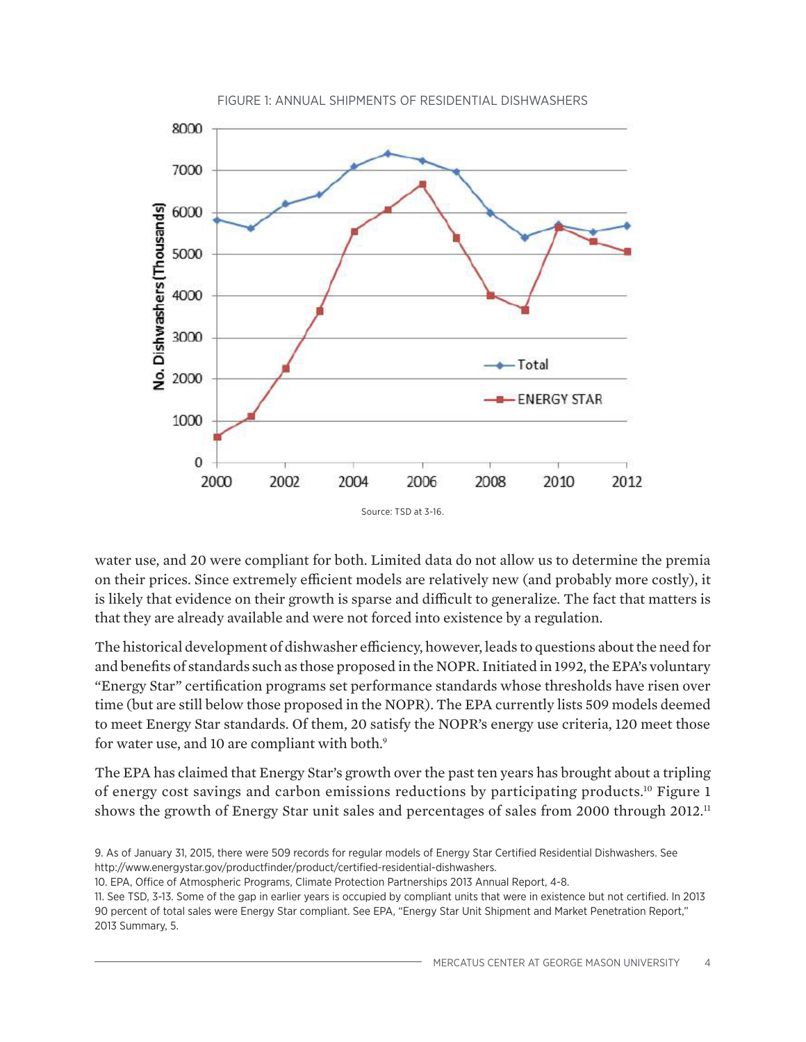

water use, and 20 were compliant for both. Limited data do not allow us to determine the premia on their prices. Since extremely efficient models are relatively new (and probably more costly), it is likely that evidence on their growth is sparse and difficult to generalize. The fact that matters is that they are already available and were not forced into existence by a regulation.

The historical development of dishwasher efficiency, however, leads to questions about the need for and benefits of standards such as those proposed in the NOPR. Initiated in 1992, the EPA's voluntary "Energy Star" certification programs set performance standards whose thresholds have risen over time (but are still below those proposed in the NOPR). The EPA currently lists 509 models deemed to meet Energy Star standards. Of them, 20 satisfy the NOPR's energy use criteria, 120 meet those for water use, and 10 are compliant with both.<sup>9</sup>

The EPA has claimed that Energy Star's growth over the past ten years has brought about a tripling of energy cost savings and carbon emissions reductions by participating products.10 Figure 1 shows the growth of Energy Star unit sales and percentages of sales from 2000 through 2012.<sup>11</sup>

<sup>9.</sup> As of January 31, 2015, there were 509 records for regular models of Energy Star Certified Residential Dishwashers. See http://www.energystar.gov/productfinder/product/certified-residential-dishwashers.

<sup>10.</sup> EPA, Office of Atmospheric Programs, Climate Protection Partnerships 2013 Annual Report, 4-8.

<sup>11.</sup> See TSD, 3-13. Some of the gap in earlier years is occupied by compliant units that were in existence but not certified. In 2013 90 percent of total sales were Energy Star compliant. See EPA, "Energy Star Unit Shipment and Market Penetration Report," 2013 Summary, 5.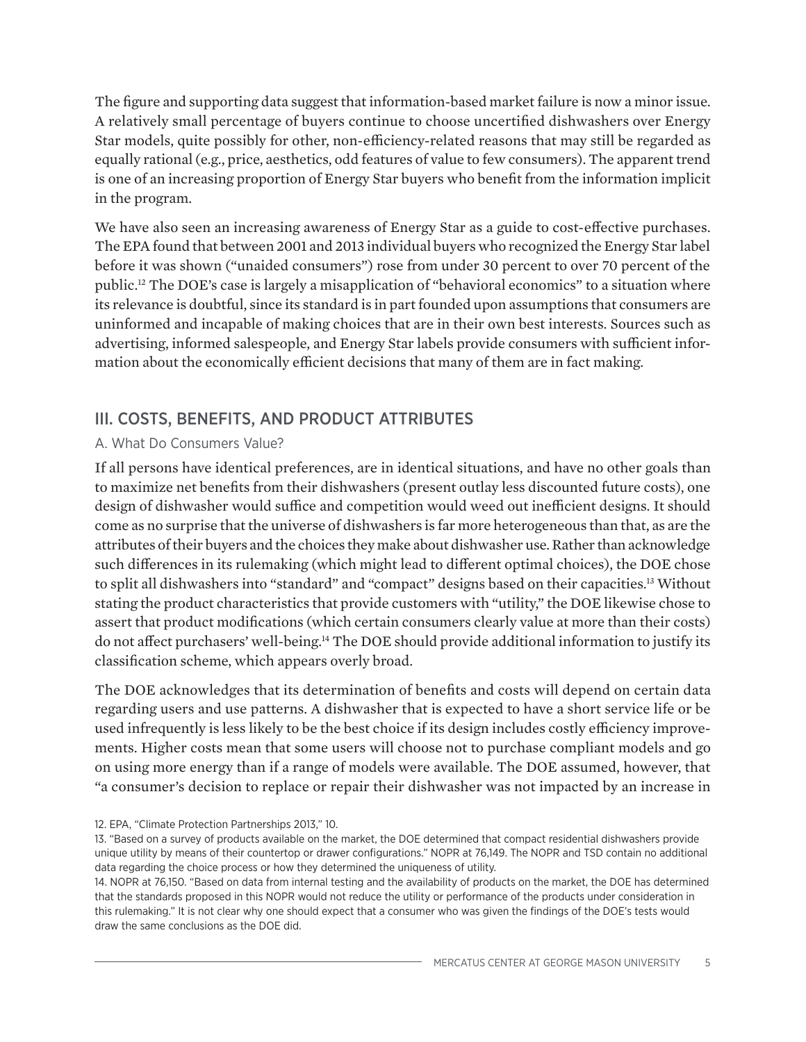The figure and supporting data suggest that information-based market failure is now a minor issue. A relatively small percentage of buyers continue to choose uncertified dishwashers over Energy Star models, quite possibly for other, non-efficiency-related reasons that may still be regarded as equally rational (e.g., price, aesthetics, odd features of value to few consumers). The apparent trend is one of an increasing proportion of Energy Star buyers who benefit from the information implicit in the program.

We have also seen an increasing awareness of Energy Star as a guide to cost-effective purchases. The EPA found that between 2001 and 2013 individual buyers who recognized the Energy Star label before it was shown ("unaided consumers") rose from under 30 percent to over 70 percent of the public.12 The DOE's case is largely a misapplication of "behavioral economics" to a situation where its relevance is doubtful, since its standard is in part founded upon assumptions that consumers are uninformed and incapable of making choices that are in their own best interests. Sources such as advertising, informed salespeople, and Energy Star labels provide consumers with sufficient information about the economically efficient decisions that many of them are in fact making.

## III. COSTS, BENEFITS, AND PRODUCT ATTRIBUTES

#### A. What Do Consumers Value?

If all persons have identical preferences, are in identical situations, and have no other goals than to maximize net benefits from their dishwashers (present outlay less discounted future costs), one design of dishwasher would suffice and competition would weed out inefficient designs. It should come as no surprise that the universe of dishwashers is far more heterogeneous than that, as are the attributes of their buyers and the choices they make about dishwasher use. Rather than acknowledge such differences in its rulemaking (which might lead to different optimal choices), the DOE chose to split all dishwashers into "standard" and "compact" designs based on their capacities.<sup>13</sup> Without stating the product characteristics that provide customers with "utility," the DOE likewise chose to assert that product modifications (which certain consumers clearly value at more than their costs) do not affect purchasers' well-being.14 The DOE should provide additional information to justify its classification scheme, which appears overly broad.

The DOE acknowledges that its determination of benefits and costs will depend on certain data regarding users and use patterns. A dishwasher that is expected to have a short service life or be used infrequently is less likely to be the best choice if its design includes costly efficiency improvements. Higher costs mean that some users will choose not to purchase compliant models and go on using more energy than if a range of models were available. The DOE assumed, however, that "a consumer's decision to replace or repair their dishwasher was not impacted by an increase in

<sup>12.</sup> EPA, "Climate Protection Partnerships 2013," 10.

<sup>13. &</sup>quot;Based on a survey of products available on the market, the DOE determined that compact residential dishwashers provide unique utility by means of their countertop or drawer configurations." NOPR at 76,149. The NOPR and TSD contain no additional data regarding the choice process or how they determined the uniqueness of utility.

<sup>14.</sup> NOPR at 76,150. "Based on data from internal testing and the availability of products on the market, the DOE has determined that the standards proposed in this NOPR would not reduce the utility or performance of the products under consideration in this rulemaking." It is not clear why one should expect that a consumer who was given the findings of the DOE's tests would draw the same conclusions as the DOE did.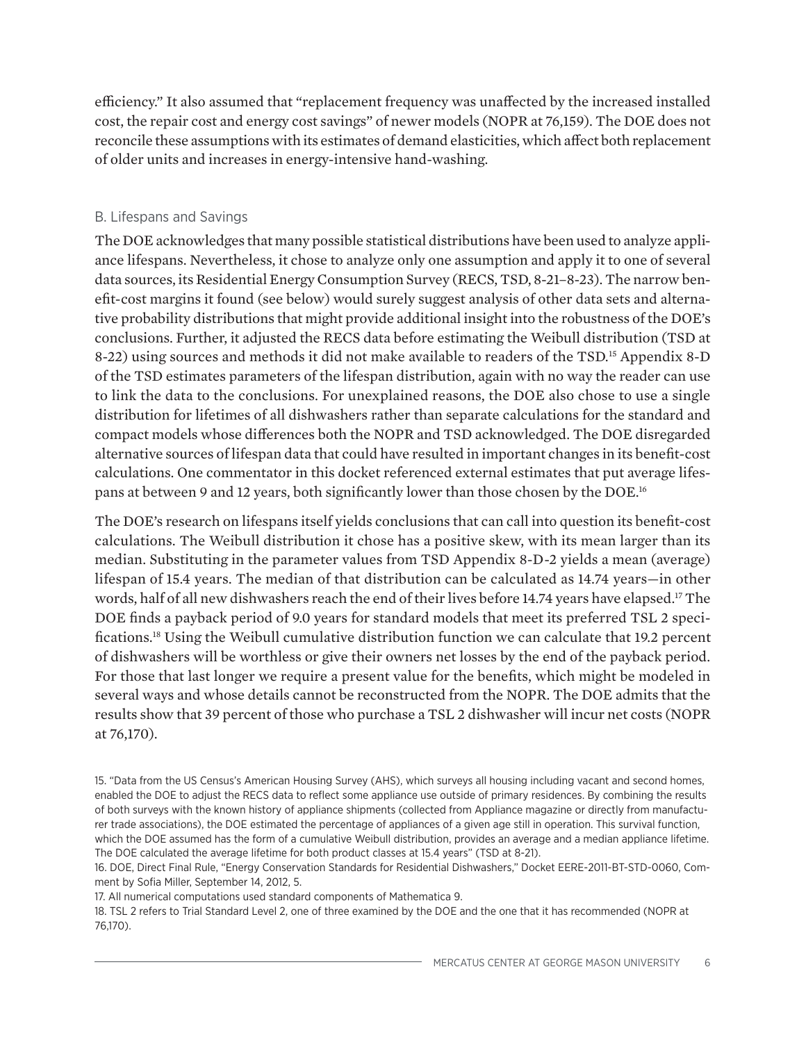efficiency." It also assumed that "replacement frequency was unaffected by the increased installed cost, the repair cost and energy cost savings" of newer models (NOPR at 76,159). The DOE does not reconcile these assumptions with its estimates of demand elasticities, which affect both replacement of older units and increases in energy-intensive hand-washing.

#### B. Lifespans and Savings

The DOE acknowledges that many possible statistical distributions have been used to analyze appliance lifespans. Nevertheless, it chose to analyze only one assumption and apply it to one of several data sources, its Residential Energy Consumption Survey (RECS, TSD, 8-21–8-23). The narrow benefit-cost margins it found (see below) would surely suggest analysis of other data sets and alternative probability distributions that might provide additional insight into the robustness of the DOE's conclusions. Further, it adjusted the RECS data before estimating the Weibull distribution (TSD at 8-22) using sources and methods it did not make available to readers of the TSD.15 Appendix 8-D of the TSD estimates parameters of the lifespan distribution, again with no way the reader can use to link the data to the conclusions. For unexplained reasons, the DOE also chose to use a single distribution for lifetimes of all dishwashers rather than separate calculations for the standard and compact models whose differences both the NOPR and TSD acknowledged. The DOE disregarded alternative sources of lifespan data that could have resulted in important changes in its benefit-cost calculations. One commentator in this docket referenced external estimates that put average lifespans at between 9 and 12 years, both significantly lower than those chosen by the DOE.<sup>16</sup>

The DOE's research on lifespans itself yields conclusions that can call into question its benefit-cost calculations. The Weibull distribution it chose has a positive skew, with its mean larger than its median. Substituting in the parameter values from TSD Appendix 8-D-2 yields a mean (average) lifespan of 15.4 years. The median of that distribution can be calculated as 14.74 years—in other words, half of all new dishwashers reach the end of their lives before 14.74 years have elapsed.17 The DOE finds a payback period of 9.0 years for standard models that meet its preferred TSL 2 specifications.18 Using the Weibull cumulative distribution function we can calculate that 19.2 percent of dishwashers will be worthless or give their owners net losses by the end of the payback period. For those that last longer we require a present value for the benefits, which might be modeled in several ways and whose details cannot be reconstructed from the NOPR. The DOE admits that the results show that 39 percent of those who purchase a TSL 2 dishwasher will incur net costs (NOPR at 76,170).

17. All numerical computations used standard components of Mathematica 9.

18. TSL 2 refers to Trial Standard Level 2, one of three examined by the DOE and the one that it has recommended (NOPR at 76,170).

<sup>15. &</sup>quot;Data from the US Census's American Housing Survey (AHS), which surveys all housing including vacant and second homes, enabled the DOE to adjust the RECS data to reflect some appliance use outside of primary residences. By combining the results of both surveys with the known history of appliance shipments (collected from Appliance magazine or directly from manufacturer trade associations), the DOE estimated the percentage of appliances of a given age still in operation. This survival function, which the DOE assumed has the form of a cumulative Weibull distribution, provides an average and a median appliance lifetime. The DOE calculated the average lifetime for both product classes at 15.4 years" (TSD at 8-21).

<sup>16.</sup> DOE, Direct Final Rule, "Energy Conservation Standards for Residential Dishwashers," Docket EERE-2011-BT-STD-0060, Comment by Sofia Miller, September 14, 2012, 5.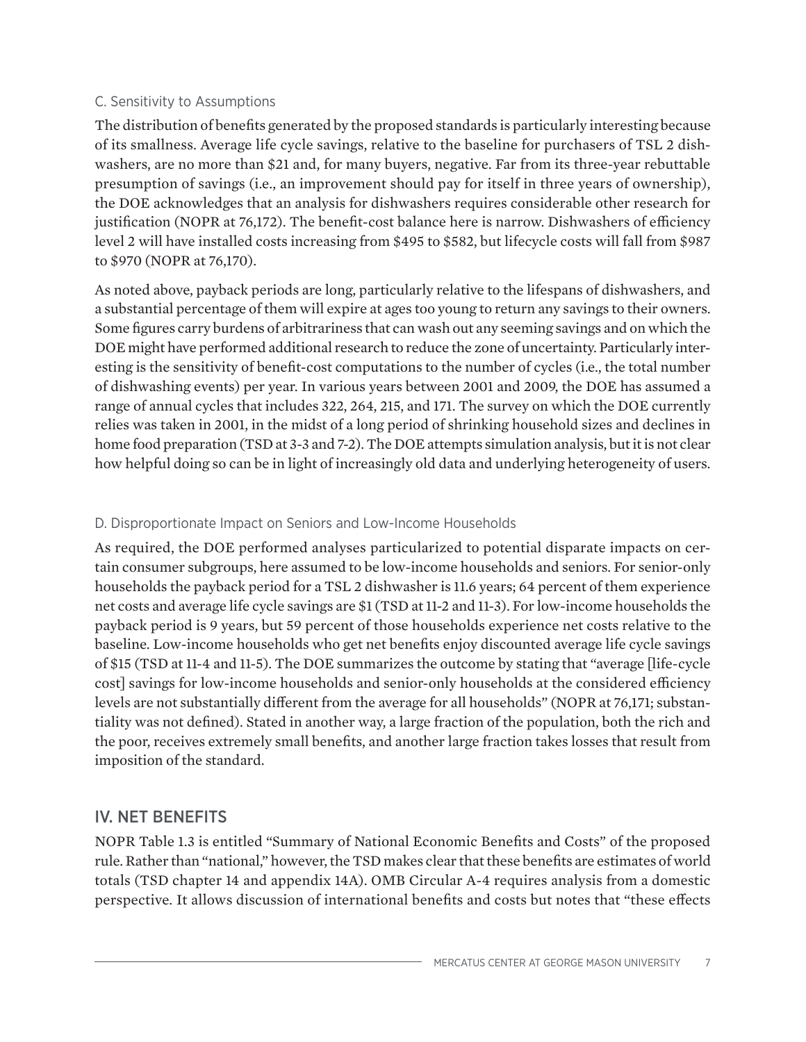#### C. Sensitivity to Assumptions

The distribution of benefits generated by the proposed standards is particularly interesting because of its smallness. Average life cycle savings, relative to the baseline for purchasers of TSL 2 dishwashers, are no more than \$21 and, for many buyers, negative. Far from its three-year rebuttable presumption of savings (i.e., an improvement should pay for itself in three years of ownership), the DOE acknowledges that an analysis for dishwashers requires considerable other research for justification (NOPR at 76,172). The benefit-cost balance here is narrow. Dishwashers of efficiency level 2 will have installed costs increasing from \$495 to \$582, but lifecycle costs will fall from \$987 to \$970 (NOPR at 76,170).

As noted above, payback periods are long, particularly relative to the lifespans of dishwashers, and a substantial percentage of them will expire at ages too young to return any savings to their owners. Some figures carry burdens of arbitrariness that can wash out any seeming savings and on which the DOE might have performed additional research to reduce the zone of uncertainty. Particularly interesting is the sensitivity of benefit-cost computations to the number of cycles (i.e., the total number of dishwashing events) per year. In various years between 2001 and 2009, the DOE has assumed a range of annual cycles that includes 322, 264, 215, and 171. The survey on which the DOE currently relies was taken in 2001, in the midst of a long period of shrinking household sizes and declines in home food preparation (TSD at 3-3 and 7-2). The DOE attempts simulation analysis, but it is not clear how helpful doing so can be in light of increasingly old data and underlying heterogeneity of users.

#### D. Disproportionate Impact on Seniors and Low-Income Households

As required, the DOE performed analyses particularized to potential disparate impacts on certain consumer subgroups, here assumed to be low-income households and seniors. For senior-only households the payback period for a TSL 2 dishwasher is 11.6 years; 64 percent of them experience net costs and average life cycle savings are \$1 (TSD at 11-2 and 11-3). For low-income households the payback period is 9 years, but 59 percent of those households experience net costs relative to the baseline. Low-income households who get net benefits enjoy discounted average life cycle savings of \$15 (TSD at 11-4 and 11-5). The DOE summarizes the outcome by stating that "average [life-cycle cost] savings for low-income households and senior-only households at the considered efficiency levels are not substantially different from the average for all households" (NOPR at 76,171; substantiality was not defined). Stated in another way, a large fraction of the population, both the rich and the poor, receives extremely small benefits, and another large fraction takes losses that result from imposition of the standard.

## IV. NET BENEFITS

NOPR Table 1.3 is entitled "Summary of National Economic Benefits and Costs" of the proposed rule. Rather than "national," however, the TSD makes clear that these benefits are estimates of world totals (TSD chapter 14 and appendix 14A). OMB Circular A-4 requires analysis from a domestic perspective. It allows discussion of international benefits and costs but notes that "these effects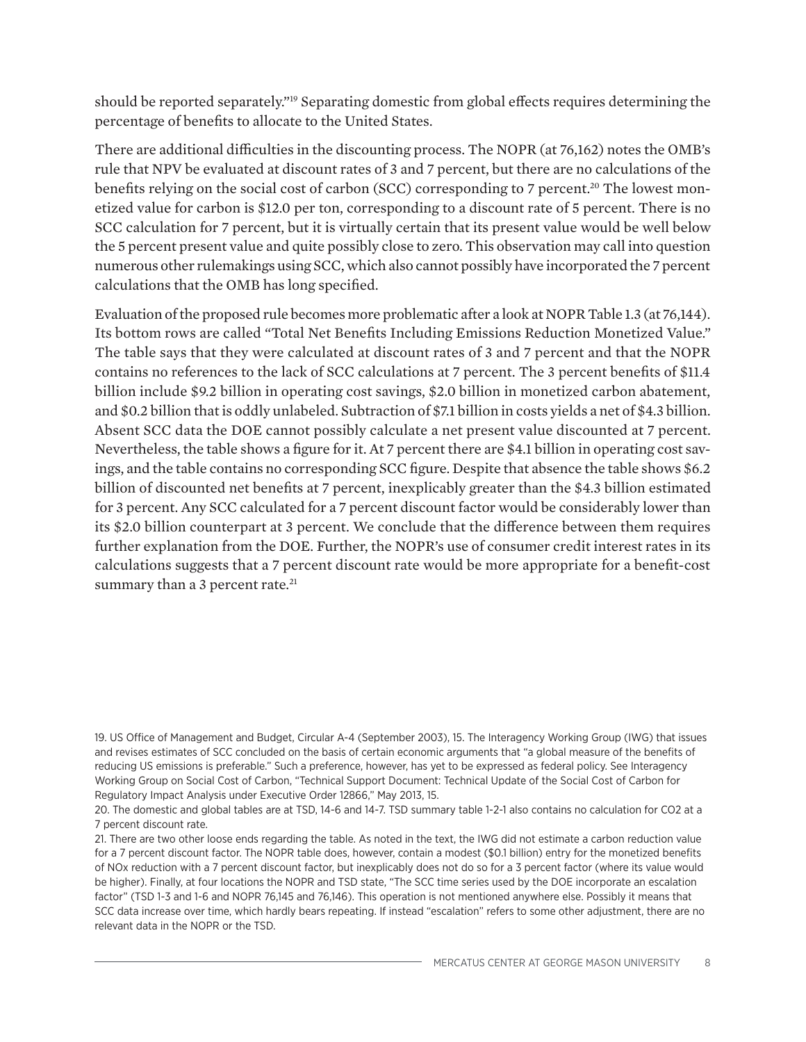should be reported separately."19 Separating domestic from global effects requires determining the percentage of benefits to allocate to the United States.

There are additional difficulties in the discounting process. The NOPR (at 76,162) notes the OMB's rule that NPV be evaluated at discount rates of 3 and 7 percent, but there are no calculations of the benefits relying on the social cost of carbon (SCC) corresponding to 7 percent.<sup>20</sup> The lowest monetized value for carbon is \$12.0 per ton, corresponding to a discount rate of 5 percent. There is no SCC calculation for 7 percent, but it is virtually certain that its present value would be well below the 5 percent present value and quite possibly close to zero. This observation may call into question numerous other rulemakings using SCC, which also cannot possibly have incorporated the 7 percent calculations that the OMB has long specified.

Evaluation of the proposed rule becomes more problematic after a look at NOPR Table 1.3 (at 76,144). Its bottom rows are called "Total Net Benefits Including Emissions Reduction Monetized Value." The table says that they were calculated at discount rates of 3 and 7 percent and that the NOPR contains no references to the lack of SCC calculations at 7 percent. The 3 percent benefits of \$11.4 billion include \$9.2 billion in operating cost savings, \$2.0 billion in monetized carbon abatement, and \$0.2 billion that is oddly unlabeled. Subtraction of \$7.1 billion in costs yields a net of \$4.3 billion. Absent SCC data the DOE cannot possibly calculate a net present value discounted at 7 percent. Nevertheless, the table shows a figure for it. At 7 percent there are \$4.1 billion in operating cost savings, and the table contains no corresponding SCC figure. Despite that absence the table shows \$6.2 billion of discounted net benefits at 7 percent, inexplicably greater than the \$4.3 billion estimated for 3 percent. Any SCC calculated for a 7 percent discount factor would be considerably lower than its \$2.0 billion counterpart at 3 percent. We conclude that the difference between them requires further explanation from the DOE. Further, the NOPR's use of consumer credit interest rates in its calculations suggests that a 7 percent discount rate would be more appropriate for a benefit-cost summary than a 3 percent rate.<sup>21</sup>

<sup>19.</sup> US Office of Management and Budget, Circular A-4 (September 2003), 15. The Interagency Working Group (IWG) that issues and revises estimates of SCC concluded on the basis of certain economic arguments that "a global measure of the benefits of reducing US emissions is preferable." Such a preference, however, has yet to be expressed as federal policy. See Interagency Working Group on Social Cost of Carbon, "Technical Support Document: Technical Update of the Social Cost of Carbon for Regulatory Impact Analysis under Executive Order 12866," May 2013, 15.

<sup>20.</sup> The domestic and global tables are at TSD, 14-6 and 14-7. TSD summary table 1-2-1 also contains no calculation for CO2 at a 7 percent discount rate.

<sup>21.</sup> There are two other loose ends regarding the table. As noted in the text, the IWG did not estimate a carbon reduction value for a 7 percent discount factor. The NOPR table does, however, contain a modest (\$0.1 billion) entry for the monetized benefits of NOx reduction with a 7 percent discount factor, but inexplicably does not do so for a 3 percent factor (where its value would be higher). Finally, at four locations the NOPR and TSD state, "The SCC time series used by the DOE incorporate an escalation factor" (TSD 1-3 and 1-6 and NOPR 76,145 and 76,146). This operation is not mentioned anywhere else. Possibly it means that SCC data increase over time, which hardly bears repeating. If instead "escalation" refers to some other adjustment, there are no relevant data in the NOPR or the TSD.